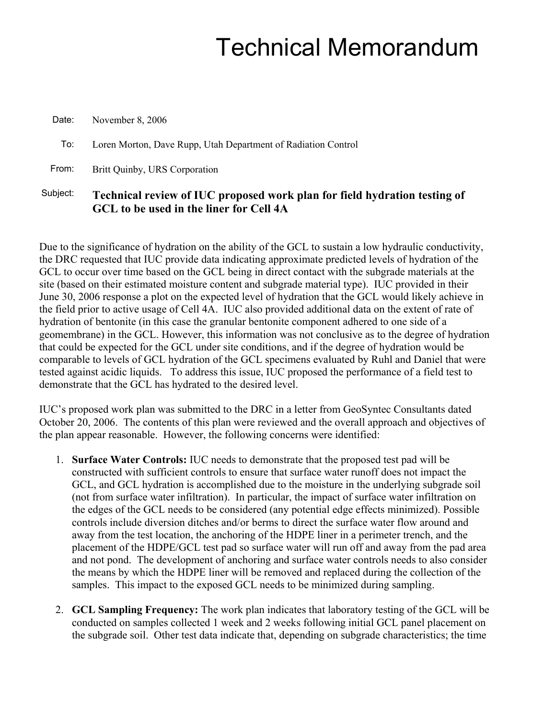# Technical Memorandum

| Date:    | November 8, 2006                                                                                                     |
|----------|----------------------------------------------------------------------------------------------------------------------|
| To:      | Loren Morton, Dave Rupp, Utah Department of Radiation Control                                                        |
| From:    | Britt Quinby, URS Corporation                                                                                        |
| Subject: | Technical review of IUC proposed work plan for field hydration testing of<br>GCL to be used in the liner for Cell 4A |

Due to the significance of hydration on the ability of the GCL to sustain a low hydraulic conductivity, the DRC requested that IUC provide data indicating approximate predicted levels of hydration of the GCL to occur over time based on the GCL being in direct contact with the subgrade materials at the site (based on their estimated moisture content and subgrade material type). IUC provided in their June 30, 2006 response a plot on the expected level of hydration that the GCL would likely achieve in the field prior to active usage of Cell 4A. IUC also provided additional data on the extent of rate of hydration of bentonite (in this case the granular bentonite component adhered to one side of a geomembrane) in the GCL. However, this information was not conclusive as to the degree of hydration that could be expected for the GCL under site conditions, and if the degree of hydration would be comparable to levels of GCL hydration of the GCL specimens evaluated by Ruhl and Daniel that were tested against acidic liquids. To address this issue, IUC proposed the performance of a field test to demonstrate that the GCL has hydrated to the desired level.

IUC's proposed work plan was submitted to the DRC in a letter from GeoSyntec Consultants dated October 20, 2006. The contents of this plan were reviewed and the overall approach and objectives of the plan appear reasonable. However, the following concerns were identified:

- 1. **Surface Water Controls:** IUC needs to demonstrate that the proposed test pad will be constructed with sufficient controls to ensure that surface water runoff does not impact the GCL, and GCL hydration is accomplished due to the moisture in the underlying subgrade soil (not from surface water infiltration). In particular, the impact of surface water infiltration on the edges of the GCL needs to be considered (any potential edge effects minimized). Possible controls include diversion ditches and/or berms to direct the surface water flow around and away from the test location, the anchoring of the HDPE liner in a perimeter trench, and the placement of the HDPE/GCL test pad so surface water will run off and away from the pad area and not pond. The development of anchoring and surface water controls needs to also consider the means by which the HDPE liner will be removed and replaced during the collection of the samples. This impact to the exposed GCL needs to be minimized during sampling.
- 2. **GCL Sampling Frequency:** The work plan indicates that laboratory testing of the GCL will be conducted on samples collected 1 week and 2 weeks following initial GCL panel placement on the subgrade soil. Other test data indicate that, depending on subgrade characteristics; the time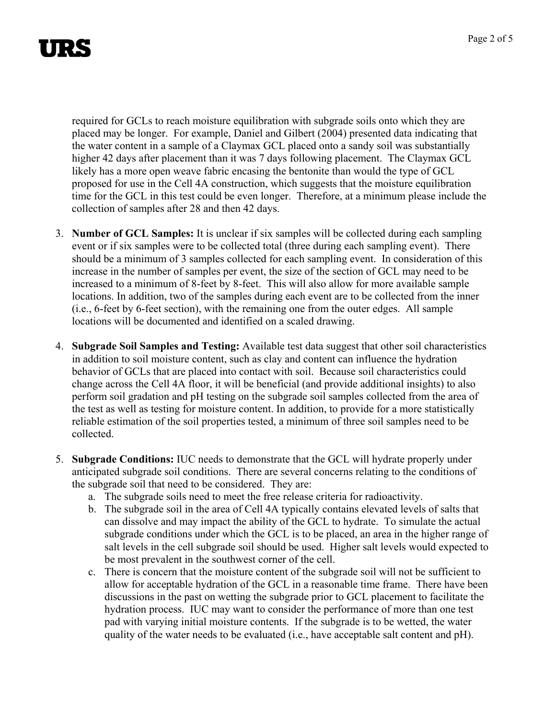required for GCLs to reach moisture equilibration with subgrade soils onto which they are placed may be longer. For example, Daniel and Gilbert (2004) presented data indicating that the water content in a sample of a Claymax GCL placed onto a sandy soil was substantially higher 42 days after placement than it was 7 days following placement. The Claymax GCL likely has a more open weave fabric encasing the bentonite than would the type of GCL proposed for use in the Cell 4A construction, which suggests that the moisture equilibration time for the GCL in this test could be even longer. Therefore, at a minimum please include the collection of samples after 28 and then 42 days.

- 3. **Number of GCL Samples:** It is unclear if six samples will be collected during each sampling event or if six samples were to be collected total (three during each sampling event). There should be a minimum of 3 samples collected for each sampling event. In consideration of this increase in the number of samples per event, the size of the section of GCL may need to be increased to a minimum of 8-feet by 8-feet. This will also allow for more available sample locations. In addition, two of the samples during each event are to be collected from the inner (i.e., 6-feet by 6-feet section), with the remaining one from the outer edges. All sample locations will be documented and identified on a scaled drawing.
- 4. **Subgrade Soil Samples and Testing:** Available test data suggest that other soil characteristics in addition to soil moisture content, such as clay and content can influence the hydration behavior of GCLs that are placed into contact with soil. Because soil characteristics could change across the Cell 4A floor, it will be beneficial (and provide additional insights) to also perform soil gradation and pH testing on the subgrade soil samples collected from the area of the test as well as testing for moisture content. In addition, to provide for a more statistically reliable estimation of the soil properties tested, a minimum of three soil samples need to be collected.
- 5. **Subgrade Conditions:** IUC needs to demonstrate that the GCL will hydrate properly under anticipated subgrade soil conditions. There are several concerns relating to the conditions of the subgrade soil that need to be considered. They are:
	- a. The subgrade soils need to meet the free release criteria for radioactivity.
	- b. The subgrade soil in the area of Cell 4A typically contains elevated levels of salts that can dissolve and may impact the ability of the GCL to hydrate. To simulate the actual subgrade conditions under which the GCL is to be placed, an area in the higher range of salt levels in the cell subgrade soil should be used. Higher salt levels would expected to be most prevalent in the southwest corner of the cell.
	- c. There is concern that the moisture content of the subgrade soil will not be sufficient to allow for acceptable hydration of the GCL in a reasonable time frame. There have been discussions in the past on wetting the subgrade prior to GCL placement to facilitate the hydration process. IUC may want to consider the performance of more than one test pad with varying initial moisture contents. If the subgrade is to be wetted, the water quality of the water needs to be evaluated (i.e., have acceptable salt content and pH).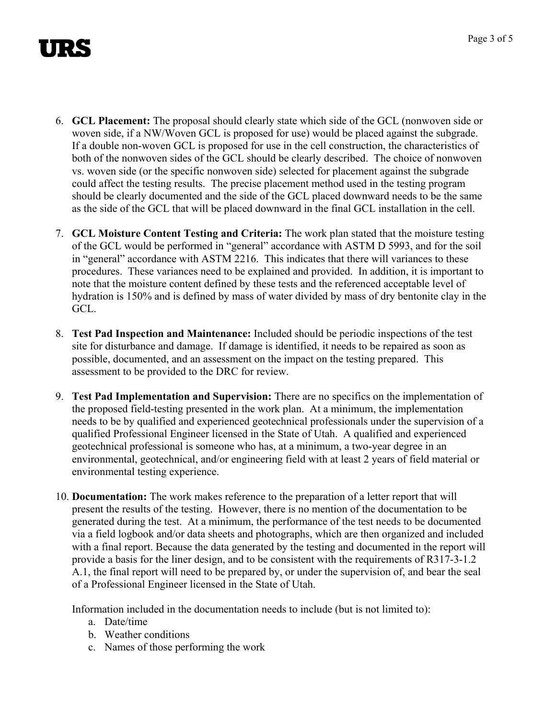- 6. **GCL Placement:** The proposal should clearly state which side of the GCL (nonwoven side or woven side, if a NW/Woven GCL is proposed for use) would be placed against the subgrade. If a double non-woven GCL is proposed for use in the cell construction, the characteristics of both of the nonwoven sides of the GCL should be clearly described. The choice of nonwoven vs. woven side (or the specific nonwoven side) selected for placement against the subgrade could affect the testing results. The precise placement method used in the testing program should be clearly documented and the side of the GCL placed downward needs to be the same as the side of the GCL that will be placed downward in the final GCL installation in the cell.
- 7. **GCL Moisture Content Testing and Criteria:** The work plan stated that the moisture testing of the GCL would be performed in "general" accordance with ASTM D 5993, and for the soil in "general" accordance with ASTM 2216. This indicates that there will variances to these procedures. These variances need to be explained and provided. In addition, it is important to note that the moisture content defined by these tests and the referenced acceptable level of hydration is 150% and is defined by mass of water divided by mass of dry bentonite clay in the GCL.
- 8. **Test Pad Inspection and Maintenance:** Included should be periodic inspections of the test site for disturbance and damage. If damage is identified, it needs to be repaired as soon as possible, documented, and an assessment on the impact on the testing prepared. This assessment to be provided to the DRC for review.
- 9. **Test Pad Implementation and Supervision:** There are no specifics on the implementation of the proposed field-testing presented in the work plan. At a minimum, the implementation needs to be by qualified and experienced geotechnical professionals under the supervision of a qualified Professional Engineer licensed in the State of Utah. A qualified and experienced geotechnical professional is someone who has, at a minimum, a two-year degree in an environmental, geotechnical, and/or engineering field with at least 2 years of field material or environmental testing experience.
- 10. **Documentation:** The work makes reference to the preparation of a letter report that will present the results of the testing. However, there is no mention of the documentation to be generated during the test. At a minimum, the performance of the test needs to be documented via a field logbook and/or data sheets and photographs, which are then organized and included with a final report. Because the data generated by the testing and documented in the report will provide a basis for the liner design, and to be consistent with the requirements of R317-3-1.2 A.1, the final report will need to be prepared by, or under the supervision of, and bear the seal of a Professional Engineer licensed in the State of Utah.

Information included in the documentation needs to include (but is not limited to):

- a. Date/time
- b. Weather conditions
- c. Names of those performing the work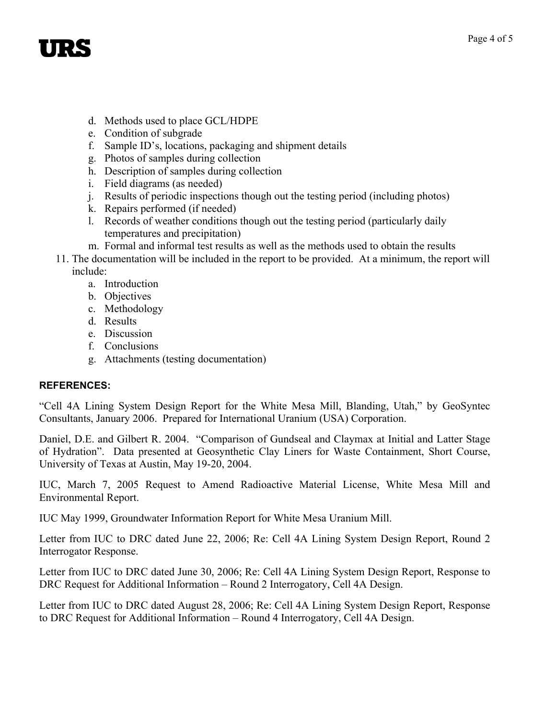- d. Methods used to place GCL/HDPE
- e. Condition of subgrade
- f. Sample ID's, locations, packaging and shipment details
- g. Photos of samples during collection
- h. Description of samples during collection
- i. Field diagrams (as needed)
- j. Results of periodic inspections though out the testing period (including photos)
- k. Repairs performed (if needed)
- l. Records of weather conditions though out the testing period (particularly daily temperatures and precipitation)
- m. Formal and informal test results as well as the methods used to obtain the results
- 11. The documentation will be included in the report to be provided. At a minimum, the report will include:
	- a. Introduction
	- b. Objectives
	- c. Methodology
	- d. Results
	- e. Discussion
	- f. Conclusions
	- g. Attachments (testing documentation)

## **REFERENCES:**

"Cell 4A Lining System Design Report for the White Mesa Mill, Blanding, Utah," by GeoSyntec Consultants, January 2006. Prepared for International Uranium (USA) Corporation.

Daniel, D.E. and Gilbert R. 2004. "Comparison of Gundseal and Claymax at Initial and Latter Stage of Hydration". Data presented at Geosynthetic Clay Liners for Waste Containment, Short Course, University of Texas at Austin, May 19-20, 2004.

IUC, March 7, 2005 Request to Amend Radioactive Material License, White Mesa Mill and Environmental Report.

IUC May 1999, Groundwater Information Report for White Mesa Uranium Mill.

Letter from IUC to DRC dated June 22, 2006; Re: Cell 4A Lining System Design Report, Round 2 Interrogator Response.

Letter from IUC to DRC dated June 30, 2006; Re: Cell 4A Lining System Design Report, Response to DRC Request for Additional Information – Round 2 Interrogatory, Cell 4A Design.

Letter from IUC to DRC dated August 28, 2006; Re: Cell 4A Lining System Design Report, Response to DRC Request for Additional Information – Round 4 Interrogatory, Cell 4A Design.